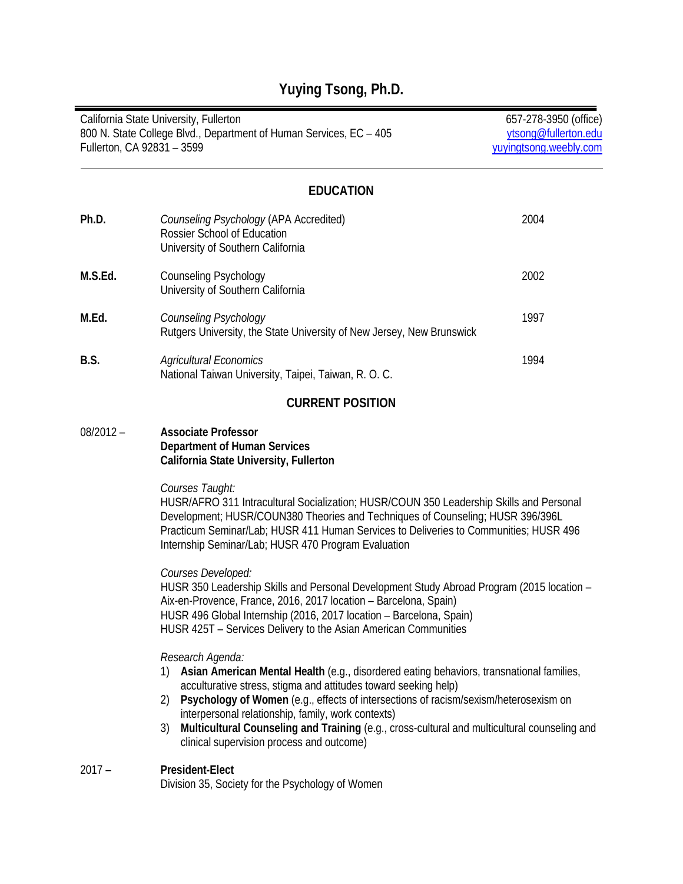| California State University, Fullerton<br>800 N. State College Blvd., Department of Human Services, EC - 405<br>Fullerton, CA 92831 - 3599 |                                                                                                                                                                                                                                                                                                                                                                                                                                                                                              | 657-278-3950 (office)<br>ytsong@fullerton.edu<br>yuyingtsong.weebly.com |
|--------------------------------------------------------------------------------------------------------------------------------------------|----------------------------------------------------------------------------------------------------------------------------------------------------------------------------------------------------------------------------------------------------------------------------------------------------------------------------------------------------------------------------------------------------------------------------------------------------------------------------------------------|-------------------------------------------------------------------------|
|                                                                                                                                            | <b>EDUCATION</b>                                                                                                                                                                                                                                                                                                                                                                                                                                                                             |                                                                         |
| Ph.D.                                                                                                                                      | Counseling Psychology (APA Accredited)<br>Rossier School of Education<br>University of Southern California                                                                                                                                                                                                                                                                                                                                                                                   | 2004                                                                    |
| M.S.Ed.                                                                                                                                    | <b>Counseling Psychology</b><br>University of Southern California                                                                                                                                                                                                                                                                                                                                                                                                                            | 2002                                                                    |
| M.Ed.                                                                                                                                      | <b>Counseling Psychology</b><br>Rutgers University, the State University of New Jersey, New Brunswick                                                                                                                                                                                                                                                                                                                                                                                        | 1997                                                                    |
| B.S.                                                                                                                                       | <b>Agricultural Economics</b><br>National Taiwan University, Taipei, Taiwan, R. O. C.                                                                                                                                                                                                                                                                                                                                                                                                        | 1994                                                                    |
|                                                                                                                                            | <b>CURRENT POSITION</b>                                                                                                                                                                                                                                                                                                                                                                                                                                                                      |                                                                         |
| $08/2012 -$                                                                                                                                | <b>Associate Professor</b><br><b>Department of Human Services</b><br>California State University, Fullerton                                                                                                                                                                                                                                                                                                                                                                                  |                                                                         |
|                                                                                                                                            | Courses Taught:<br>HUSR/AFRO 311 Intracultural Socialization; HUSR/COUN 350 Leadership Skills and Personal<br>Development; HUSR/COUN380 Theories and Techniques of Counseling; HUSR 396/396L<br>Practicum Seminar/Lab; HUSR 411 Human Services to Deliveries to Communities; HUSR 496<br>Internship Seminar/Lab; HUSR 470 Program Evaluation                                                                                                                                                 |                                                                         |
|                                                                                                                                            | Courses Developed:<br>HUSR 350 Leadership Skills and Personal Development Study Abroad Program (2015 location -<br>Aix-en-Provence, France, 2016, 2017 location - Barcelona, Spain)<br>HUSR 496 Global Internship (2016, 2017 location - Barcelona, Spain)<br>HUSR 425T - Services Delivery to the Asian American Communities                                                                                                                                                                |                                                                         |
|                                                                                                                                            | Research Agenda:<br>Asian American Mental Health (e.g., disordered eating behaviors, transnational families,<br>1)<br>acculturative stress, stigma and attitudes toward seeking help)<br>Psychology of Women (e.g., effects of intersections of racism/sexism/heterosexism on<br>2)<br>interpersonal relationship, family, work contexts)<br>Multicultural Counseling and Training (e.g., cross-cultural and multicultural counseling and<br>3)<br>clinical supervision process and outcome) |                                                                         |
| $2017 -$                                                                                                                                   | <b>President-Elect</b><br>Division 35, Society for the Psychology of Women                                                                                                                                                                                                                                                                                                                                                                                                                   |                                                                         |

# **Yuying Tsong, Ph.D.**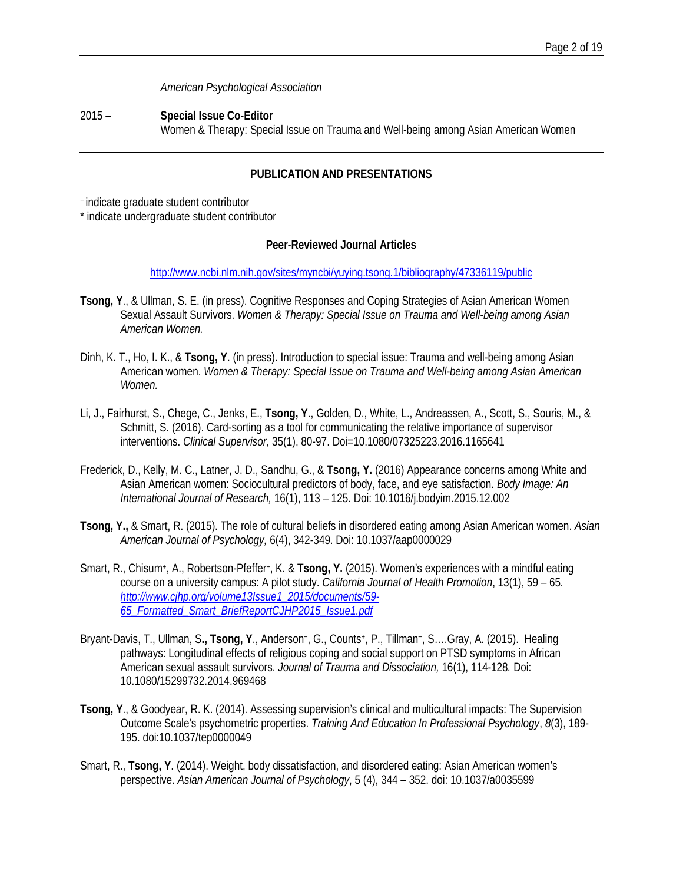*American Psychological Association*

2015 – **Special Issue Co-Editor** Women & Therapy: Special Issue on Trauma and Well-being among Asian American Women

# **PUBLICATION AND PRESENTATIONS**

+ indicate graduate student contributor

\* indicate undergraduate student contributor

## **Peer-Reviewed Journal Articles**

<http://www.ncbi.nlm.nih.gov/sites/myncbi/yuying.tsong.1/bibliography/47336119/public>

- **Tsong, Y**., & Ullman, S. E. (in press). Cognitive Responses and Coping Strategies of Asian American Women Sexual Assault Survivors. *Women & Therapy: Special Issue on Trauma and Well-being among Asian American Women.*
- Dinh, K. T., Ho, I. K., & **Tsong, Y**. (in press). Introduction to special issue: Trauma and well-being among Asian American women. *Women & Therapy: Special Issue on Trauma and Well-being among Asian American Women.*
- Li, J., Fairhurst, S., Chege, C., Jenks, E., **Tsong, Y**., Golden, D., White, L., Andreassen, A., Scott, S., Souris, M., & Schmitt, S. (2016). Card-sorting as a tool for communicating the relative importance of supervisor interventions. *Clinical Supervisor*, 35(1), 80-97. Doi=10.1080/07325223.2016.1165641
- Frederick, D., Kelly, M. C., Latner, J. D., Sandhu, G., & **Tsong, Y.** (2016) Appearance concerns among White and Asian American women: Sociocultural predictors of body, face, and eye satisfaction. *Body Image: An International Journal of Research,* 16(1), 113 – 125. Doi: 10.1016/j.bodyim.2015.12.002
- **Tsong, Y.,** & Smart, R. (2015). The role of cultural beliefs in disordered eating among Asian American women. *Asian American Journal of Psychology,* 6(4), 342-349. Doi: 10.1037/aap0000029
- Smart, R., Chisum+, A., Robertson-Pfeffer+, K. & **Tsong, Y.** (2015). Women's experiences with a mindful eating course on a university campus: A pilot study. *California Journal of Health Promotion*, 13(1), 59 – 65*. [http://www.cjhp.org/volume13Issue1\\_2015/documents/59-](http://www.cjhp.org/volume13Issue1_2015/documents/59-65_Formatted_Smart_BriefReportCJHP2015_Issue1.pdf) [65\\_Formatted\\_Smart\\_BriefReportCJHP2015\\_Issue1.pdf](http://www.cjhp.org/volume13Issue1_2015/documents/59-65_Formatted_Smart_BriefReportCJHP2015_Issue1.pdf)*
- Bryant-Davis, T., Ullman, S**., Tsong, Y**., Anderson+, G., Counts+, P., Tillman+, S….Gray, A. (2015). Healing pathways: Longitudinal effects of religious coping and social support on PTSD symptoms in African American sexual assault survivors. *Journal of Trauma and Dissociation,* 16(1), 114-128*.* Doi: 10.1080/15299732.2014.969468
- **Tsong, Y**., & Goodyear, R. K. (2014). Assessing supervision's clinical and multicultural impacts: The Supervision Outcome Scale's psychometric properties. *Training And Education In Professional Psychology*, *8*(3), 189- 195. doi:10.1037/tep0000049
- Smart, R., **Tsong, Y**. (2014). Weight, body dissatisfaction, and disordered eating: Asian American women's perspective. *Asian American Journal of Psychology*, 5 (4), 344 – 352. doi: 10.1037/a0035599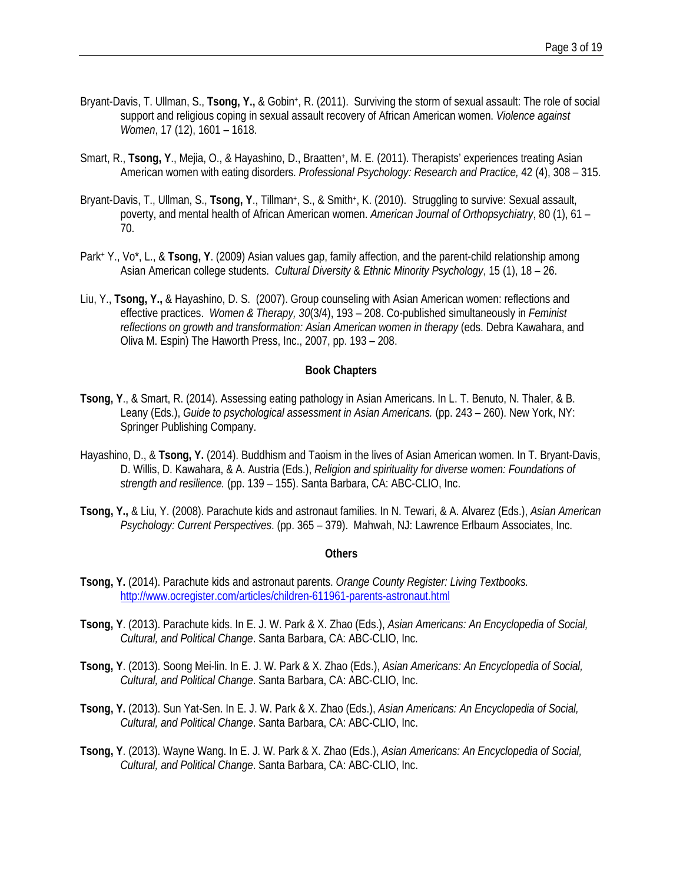- Bryant-Davis, T. Ullman, S., **Tsong, Y.,** & Gobin+, R. (2011). Surviving the storm of sexual assault: The role of social support and religious coping in sexual assault recovery of African American women. *Violence against Women*, 17 (12), 1601 – 1618.
- Smart, R., **Tsong, Y**., Mejia, O., & Hayashino, D., Braatten+, M. E. (2011). Therapists' experiences treating Asian American women with eating disorders. *Professional Psychology: Research and Practice,* 42 (4), 308 – 315.
- Bryant-Davis, T., Ullman, S., **Tsong, Y**., Tillman+, S., & Smith+, K. (2010). Struggling to survive: Sexual assault, poverty, and mental health of African American women. *American Journal of Orthopsychiatry*, 80 (1), 61 – 70.
- Park+ Y., Vo\*, L., & **Tsong, Y**. (2009) Asian values gap, family affection, and the parent-child relationship among Asian American college students. *Cultural Diversity* & *Ethnic Minority Psychology*, 15 (1), 18 – 26.
- Liu, Y., **Tsong, Y.,** & Hayashino, D. S. (2007). Group counseling with Asian American women: reflections and effective practices. *Women & Therapy, 30*(3/4), 193 – 208. Co-published simultaneously in *Feminist reflections on growth and transformation: Asian American women in therapy* (eds. Debra Kawahara, and Oliva M. Espin) The Haworth Press, Inc., 2007, pp. 193 – 208.

#### **Book Chapters**

- **Tsong, Y**., & Smart, R. (2014). Assessing eating pathology in Asian Americans. In L. T. Benuto, N. Thaler, & B. Leany (Eds.), *Guide to psychological assessment in Asian Americans.* (pp. 243 – 260). New York, NY: Springer Publishing Company.
- Hayashino, D., & **Tsong, Y.** (2014). Buddhism and Taoism in the lives of Asian American women. In T. Bryant-Davis, D. Willis, D. Kawahara, & A. Austria (Eds.), *Religion and spirituality for diverse women: Foundations of strength and resilience.* (pp. 139 – 155). Santa Barbara, CA: ABC-CLIO, Inc.
- **Tsong, Y.,** & Liu, Y. (2008). Parachute kids and astronaut families. In N. Tewari, & A. Alvarez (Eds.), *Asian American Psychology: Current Perspectives*. (pp. 365 – 379). Mahwah, NJ: Lawrence Erlbaum Associates, Inc.

#### **Others**

- **Tsong, Y.** (2014). Parachute kids and astronaut parents. *Orange County Register: Living Textbooks.* <http://www.ocregister.com/articles/children-611961-parents-astronaut.html>
- **Tsong, Y**. (2013). Parachute kids. In E. J. W. Park & X. Zhao (Eds.), *Asian Americans: An Encyclopedia of Social, Cultural, and Political Change*. Santa Barbara, CA: ABC-CLIO, Inc.
- **Tsong, Y**. (2013). Soong Mei-lin. In E. J. W. Park & X. Zhao (Eds.), *Asian Americans: An Encyclopedia of Social, Cultural, and Political Change*. Santa Barbara, CA: ABC-CLIO, Inc.
- **Tsong, Y.** (2013). Sun Yat-Sen. In E. J. W. Park & X. Zhao (Eds.), *Asian Americans: An Encyclopedia of Social, Cultural, and Political Change*. Santa Barbara, CA: ABC-CLIO, Inc.
- **Tsong, Y**. (2013). Wayne Wang. In E. J. W. Park & X. Zhao (Eds.), *Asian Americans: An Encyclopedia of Social, Cultural, and Political Change*. Santa Barbara, CA: ABC-CLIO, Inc.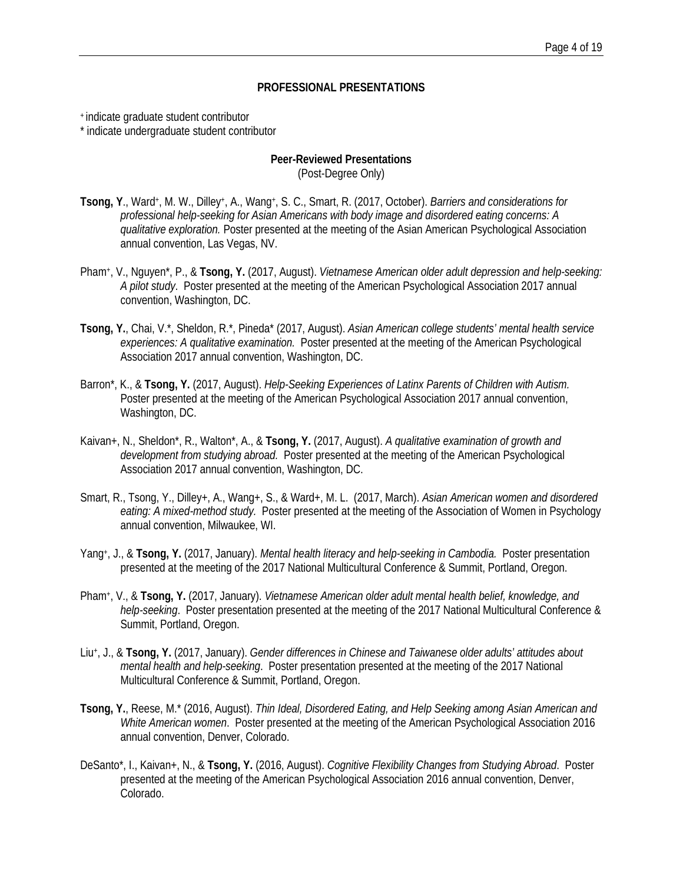#### **PROFESSIONAL PRESENTATIONS**

+ indicate graduate student contributor

\* indicate undergraduate student contributor

# **Peer-Reviewed Presentations**

(Post-Degree Only)

- **Tsong, Y**., Ward+, M. W., Dilley+, A., Wang+, S. C., Smart, R. (2017, October). *Barriers and considerations for professional help-seeking for Asian Americans with body image and disordered eating concerns: A qualitative exploration.* Poster presented at the meeting of the Asian American Psychological Association annual convention, Las Vegas, NV.
- Pham+, V., Nguyen\*, P., & **Tsong, Y.** (2017, August). *Vietnamese American older adult depression and help-seeking: A pilot study*. Poster presented at the meeting of the American Psychological Association 2017 annual convention, Washington, DC.
- **Tsong, Y.**, Chai, V.\*, Sheldon, R.\*, Pineda\* (2017, August). *Asian American college students' mental health service experiences: A qualitative examination.* Poster presented at the meeting of the American Psychological Association 2017 annual convention, Washington, DC.
- Barron\*, K., & **Tsong, Y.** (2017, August). *Help-Seeking Experiences of Latinx Parents of Children with Autism.* Poster presented at the meeting of the American Psychological Association 2017 annual convention, Washington, DC.
- Kaivan+, N., Sheldon\*, R., Walton\*, A., & **Tsong, Y.** (2017, August). *A qualitative examination of growth and development from studying abroad.* Poster presented at the meeting of the American Psychological Association 2017 annual convention, Washington, DC.
- Smart, R., Tsong, Y., Dilley+, A., Wang+, S., & Ward+, M. L. (2017, March). *Asian American women and disordered eating: A mixed-method study.* Poster presented at the meeting of the Association of Women in Psychology annual convention, Milwaukee, WI.
- Yang+, J., & **Tsong, Y.** (2017, January). *Mental health literacy and help-seeking in Cambodia.* Poster presentation presented at the meeting of the 2017 National Multicultural Conference & Summit, Portland, Oregon.
- Pham+, V., & **Tsong, Y.** (2017, January). *Vietnamese American older adult mental health belief, knowledge, and help-seeking*. Poster presentation presented at the meeting of the 2017 National Multicultural Conference & Summit, Portland, Oregon.
- Liu+, J., & **Tsong, Y.** (2017, January). *Gender differences in Chinese and Taiwanese older adults' attitudes about mental health and help-seeking*. Poster presentation presented at the meeting of the 2017 National Multicultural Conference & Summit, Portland, Oregon.
- **Tsong, Y.**, Reese, M.\* (2016, August). *Thin Ideal, Disordered Eating, and Help Seeking among Asian American and White American women*. Poster presented at the meeting of the American Psychological Association 2016 annual convention, Denver, Colorado.
- DeSanto\*, I., Kaivan+, N., & **Tsong, Y.** (2016, August). *Cognitive Flexibility Changes from Studying Abroad*. Poster presented at the meeting of the American Psychological Association 2016 annual convention, Denver, Colorado.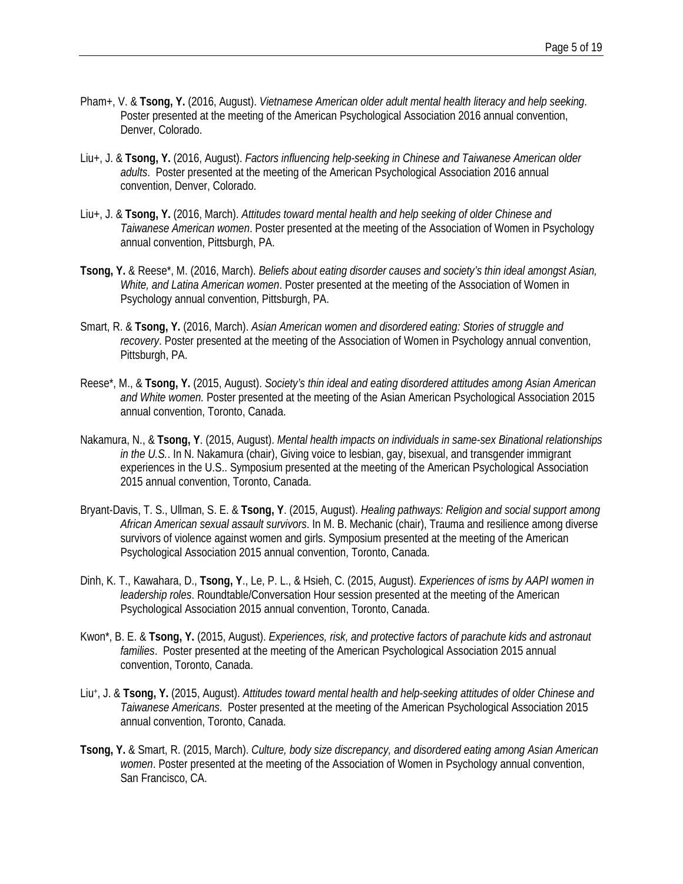- Pham+, V. & **Tsong, Y.** (2016, August). *Vietnamese American older adult mental health literacy and help seeking*. Poster presented at the meeting of the American Psychological Association 2016 annual convention, Denver, Colorado.
- Liu+, J. & **Tsong, Y.** (2016, August). *Factors influencing help-seeking in Chinese and Taiwanese American older adults*. Poster presented at the meeting of the American Psychological Association 2016 annual convention, Denver, Colorado.
- Liu+, J. & **Tsong, Y.** (2016, March). *Attitudes toward mental health and help seeking of older Chinese and Taiwanese American women*. Poster presented at the meeting of the Association of Women in Psychology annual convention, Pittsburgh, PA.
- **Tsong, Y.** & Reese\*, M. (2016, March). *Beliefs about eating disorder causes and society's thin ideal amongst Asian, White, and Latina American women*. Poster presented at the meeting of the Association of Women in Psychology annual convention, Pittsburgh, PA.
- Smart, R. & **Tsong, Y.** (2016, March). *Asian American women and disordered eating: Stories of struggle and recovery*. Poster presented at the meeting of the Association of Women in Psychology annual convention, Pittsburgh, PA.
- Reese\*, M., & **Tsong, Y.** (2015, August). *Society's thin ideal and eating disordered attitudes among Asian American and White women.* Poster presented at the meeting of the Asian American Psychological Association 2015 annual convention, Toronto, Canada.
- Nakamura, N., & **Tsong, Y**. (2015, August). *Mental health impacts on individuals in same-sex Binational relationships in the U.S.*. In N. Nakamura (chair), Giving voice to lesbian, gay, bisexual, and transgender immigrant experiences in the U.S.. Symposium presented at the meeting of the American Psychological Association 2015 annual convention, Toronto, Canada.
- Bryant-Davis, T. S., Ullman, S. E. & **Tsong, Y**. (2015, August). *Healing pathways: Religion and social support among African American sexual assault survivors*. In M. B. Mechanic (chair), Trauma and resilience among diverse survivors of violence against women and girls. Symposium presented at the meeting of the American Psychological Association 2015 annual convention, Toronto, Canada.
- Dinh, K. T., Kawahara, D., **Tsong, Y**., Le, P. L., & Hsieh, C. (2015, August). *Experiences of isms by AAPI women in leadership roles*. Roundtable/Conversation Hour session presented at the meeting of the American Psychological Association 2015 annual convention, Toronto, Canada.
- Kwon\*, B. E. & **Tsong, Y.** (2015, August). *Experiences, risk, and protective factors of parachute kids and astronaut families*. Poster presented at the meeting of the American Psychological Association 2015 annual convention, Toronto, Canada.
- Liu+, J. & **Tsong, Y.** (2015, August). *Attitudes toward mental health and help-seeking attitudes of older Chinese and Taiwanese Americans*. Poster presented at the meeting of the American Psychological Association 2015 annual convention, Toronto, Canada.
- **Tsong, Y.** & Smart, R. (2015, March). *Culture, body size discrepancy, and disordered eating among Asian American women*. Poster presented at the meeting of the Association of Women in Psychology annual convention, San Francisco, CA.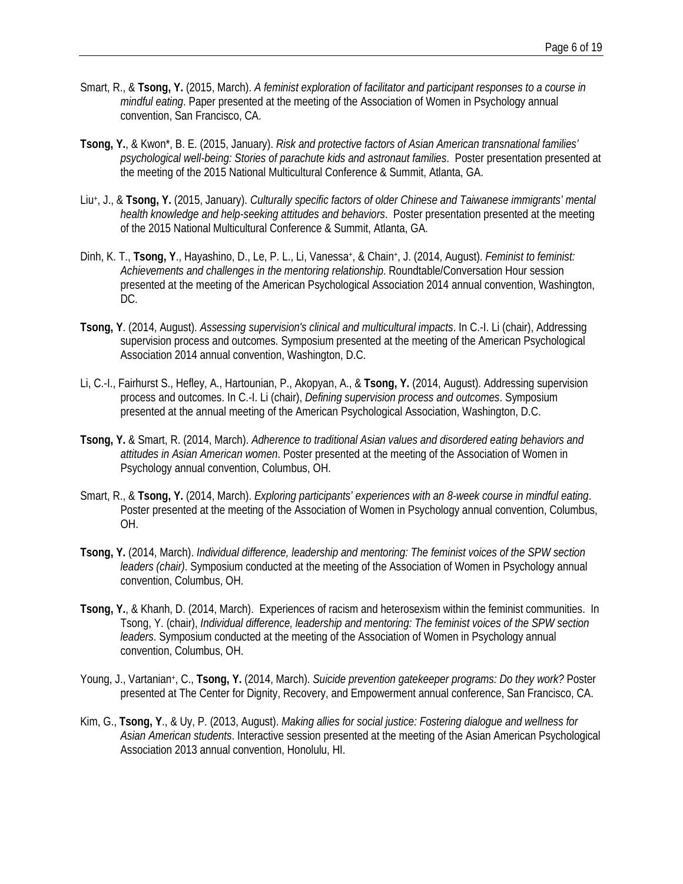- Smart, R., & **Tsong, Y.** (2015, March). *A feminist exploration of facilitator and participant responses to a course in mindful eating*. Paper presented at the meeting of the Association of Women in Psychology annual convention, San Francisco, CA.
- **Tsong, Y.**, & Kwon\*, B. E. (2015, January). *Risk and protective factors of Asian American transnational families' psychological well-being: Stories of parachute kids and astronaut families*. Poster presentation presented at the meeting of the 2015 National Multicultural Conference & Summit, Atlanta, GA.
- Liu+, J., & **Tsong, Y.** (2015, January). *Culturally specific factors of older Chinese and Taiwanese immigrants' mental health knowledge and help-seeking attitudes and behaviors*. Poster presentation presented at the meeting of the 2015 National Multicultural Conference & Summit, Atlanta, GA.
- Dinh, K. T., **Tsong, Y.**, Hayashino, D., Le, P. L., Li, Vanessa<sup>+</sup>, & Chain<sup>+</sup>, J. (2014, August). *Feminist to feminist: Achievements and challenges in the mentoring relationship*. Roundtable/Conversation Hour session presented at the meeting of the American Psychological Association 2014 annual convention, Washington, DC.
- **Tsong, Y**. (2014, August). *Assessing supervision's clinical and multicultural impacts*. In C.-I. Li (chair), Addressing supervision process and outcomes. Symposium presented at the meeting of the American Psychological Association 2014 annual convention, Washington, D.C.
- Li, C.-I., Fairhurst S., Hefley, A., Hartounian, P., Akopyan, A., & **Tsong, Y.** (2014, August). Addressing supervision process and outcomes. In C.-I. Li (chair), *Defining supervision process and outcomes*. Symposium presented at the annual meeting of the American Psychological Association, Washington, D.C.
- **Tsong, Y.** & Smart, R. (2014, March). *Adherence to traditional Asian values and disordered eating behaviors and attitudes in Asian American women*. Poster presented at the meeting of the Association of Women in Psychology annual convention, Columbus, OH.
- Smart, R., & **Tsong, Y.** (2014, March). *Exploring participants' experiences with an 8-week course in mindful eating*. Poster presented at the meeting of the Association of Women in Psychology annual convention, Columbus, OH.
- **Tsong, Y.** (2014, March). *Individual difference, leadership and mentoring: The feminist voices of the SPW section leaders (chair)*. Symposium conducted at the meeting of the Association of Women in Psychology annual convention, Columbus, OH.
- **Tsong, Y.**, & Khanh, D. (2014, March). Experiences of racism and heterosexism within the feminist communities. In Tsong, Y. (chair), *Individual difference, leadership and mentoring: The feminist voices of the SPW section leaders*. Symposium conducted at the meeting of the Association of Women in Psychology annual convention, Columbus, OH.
- Young, J., Vartanian+, C., **Tsong, Y.** (2014, March). *Suicide prevention gatekeeper programs: Do they work?* Poster presented at The Center for Dignity, Recovery, and Empowerment annual conference, San Francisco, CA.
- Kim, G., **Tsong, Y**., & Uy, P. (2013, August). *Making allies for social justice: Fostering dialogue and wellness for Asian American students*. Interactive session presented at the meeting of the Asian American Psychological Association 2013 annual convention, Honolulu, HI.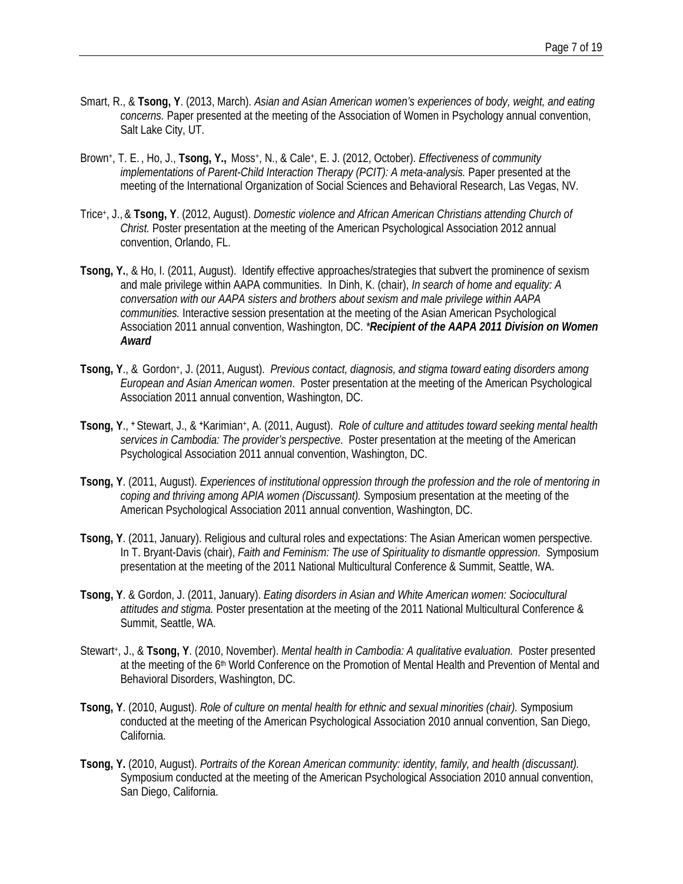- Smart, R., & **Tsong, Y**. (2013, March). *Asian and Asian American women's experiences of body, weight, and eating concerns.* Paper presented at the meeting of the Association of Women in Psychology annual convention, Salt Lake City, UT.
- Brown+, T. E. , Ho, J., **Tsong, Y.,** Moss+, N., & Cale+, E. J. (2012, October). *Effectiveness of community implementations of Parent-Child Interaction Therapy (PCIT): A meta-analysis. Paper presented at the* meeting of the International Organization of Social Sciences and Behavioral Research, Las Vegas, NV.
- Trice+, J., & **Tsong, Y**. (2012, August). *Domestic violence and African American Christians attending Church of Christ.* Poster presentation at the meeting of the American Psychological Association 2012 annual convention, Orlando, FL.
- **Tsong, Y.**, & Ho, I. (2011, August). Identify effective approaches/strategies that subvert the prominence of sexism and male privilege within AAPA communities. In Dinh, K. (chair), *In search of home and equality: A conversation with our AAPA sisters and brothers about sexism and male privilege within AAPA communities.* Interactive session presentation at the meeting of the Asian American Psychological Association 2011 annual convention, Washington, DC. *\*Recipient of the AAPA 2011 Division on Women Award*
- **Tsong, Y**., & Gordon+, J. (2011, August). *Previous contact, diagnosis, and stigma toward eating disorders among European and Asian American women*. Poster presentation at the meeting of the American Psychological Association 2011 annual convention, Washington, DC.
- **Tsong, Y**., **+** Stewart, J., & **+**Karimian+, A. (2011, August). *Role of culture and attitudes toward seeking mental health services in Cambodia: The provider's perspective*. Poster presentation at the meeting of the American Psychological Association 2011 annual convention, Washington, DC.
- **Tsong, Y**. (2011, August). *Experiences of institutional oppression through the profession and the role of mentoring in coping and thriving among APIA women (Discussant).* Symposium presentation at the meeting of the American Psychological Association 2011 annual convention, Washington, DC.
- **Tsong, Y**. (2011, January). Religious and cultural roles and expectations: The Asian American women perspective*.* In T. Bryant-Davis (chair), *Faith and Feminism: The use of Spirituality to dismantle oppression*. Symposium presentation at the meeting of the 2011 National Multicultural Conference & Summit, Seattle, WA.
- **Tsong, Y**. & Gordon, J. (2011, January). *Eating disorders in Asian and White American women: Sociocultural attitudes and stigma.* Poster presentation at the meeting of the 2011 National Multicultural Conference & Summit, Seattle, WA.
- Stewart+, J., & **Tsong, Y**. (2010, November). *Mental health in Cambodia: A qualitative evaluation.* Poster presented at the meeting of the 6<sup>th</sup> World Conference on the Promotion of Mental Health and Prevention of Mental and Behavioral Disorders, Washington, DC.
- **Tsong, Y**. (2010, August). *Role of culture on mental health for ethnic and sexual minorities (chair).* Symposium conducted at the meeting of the American Psychological Association 2010 annual convention, San Diego, California.
- **Tsong, Y.** (2010, August). *Portraits of the Korean American community: identity, family, and health (discussant).* Symposium conducted at the meeting of the American Psychological Association 2010 annual convention, San Diego, California.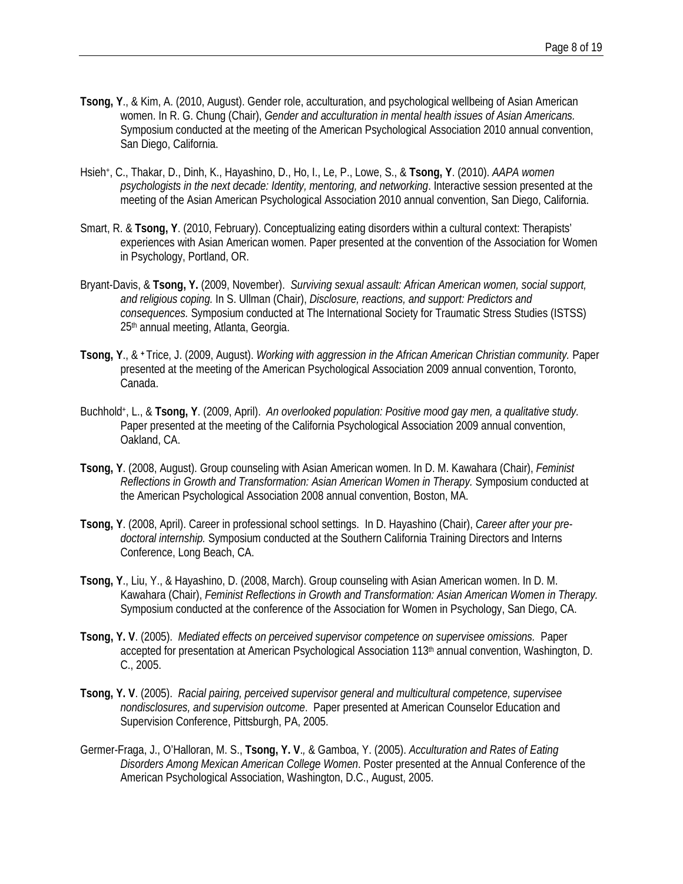- **Tsong, Y**., & Kim, A. (2010, August). Gender role, acculturation, and psychological wellbeing of Asian American women. In R. G. Chung (Chair), *Gender and acculturation in mental health issues of Asian Americans.* Symposium conducted at the meeting of the American Psychological Association 2010 annual convention, San Diego, California.
- Hsieh+, C., Thakar, D., Dinh, K., Hayashino, D., Ho, I., Le, P., Lowe, S., & **Tsong, Y**. (2010). *AAPA women psychologists in the next decade: Identity, mentoring, and networking*. Interactive session presented at the meeting of the Asian American Psychological Association 2010 annual convention, San Diego, California.
- Smart, R. & **Tsong, Y**. (2010, February). Conceptualizing eating disorders within a cultural context: Therapists' experiences with Asian American women. Paper presented at the convention of the Association for Women in Psychology, Portland, OR.
- Bryant-Davis, & **Tsong, Y.** (2009, November). *Surviving sexual assault: African American women, social support, and religious coping.* In S. Ullman (Chair), *Disclosure, reactions, and support: Predictors and consequences.* Symposium conducted at The International Society for Traumatic Stress Studies (ISTSS) 25th annual meeting, Atlanta, Georgia.
- **Tsong, Y**., & **+** Trice, J. (2009, August). *Working with aggression in the African American Christian community.* Paper presented at the meeting of the American Psychological Association 2009 annual convention, Toronto, Canada.
- Buchhold+, L., & **Tsong, Y**. (2009, April). *An overlooked population: Positive mood gay men, a qualitative study.*  Paper presented at the meeting of the California Psychological Association 2009 annual convention, Oakland, CA.
- **Tsong, Y**. (2008, August). Group counseling with Asian American women. In D. M. Kawahara (Chair), *Feminist Reflections in Growth and Transformation: Asian American Women in Therapy.* Symposium conducted at the American Psychological Association 2008 annual convention, Boston, MA.
- **Tsong, Y**. (2008, April). Career in professional school settings. In D. Hayashino (Chair), *Career after your predoctoral internship.* Symposium conducted at the Southern California Training Directors and Interns Conference, Long Beach, CA.
- **Tsong, Y**., Liu, Y., & Hayashino, D. (2008, March). Group counseling with Asian American women. In D. M. Kawahara (Chair), *Feminist Reflections in Growth and Transformation: Asian American Women in Therapy.* Symposium conducted at the conference of the Association for Women in Psychology, San Diego, CA.
- **Tsong, Y. V**. (2005). *Mediated effects on perceived supervisor competence on supervisee omissions.* Paper accepted for presentation at American Psychological Association 113th annual convention, Washington, D. C., 2005.
- **Tsong, Y. V**. (2005). *Racial pairing, perceived supervisor general and multicultural competence, supervisee nondisclosures, and supervision outcome*. Paper presented at American Counselor Education and Supervision Conference, Pittsburgh, PA, 2005.
- Germer-Fraga, J., O'Halloran, M. S., **Tsong, Y. V**.*,* & Gamboa, Y. (2005). *Acculturation and Rates of Eating Disorders Among Mexican American College Women*. Poster presented at the Annual Conference of the American Psychological Association, Washington, D.C., August, 2005.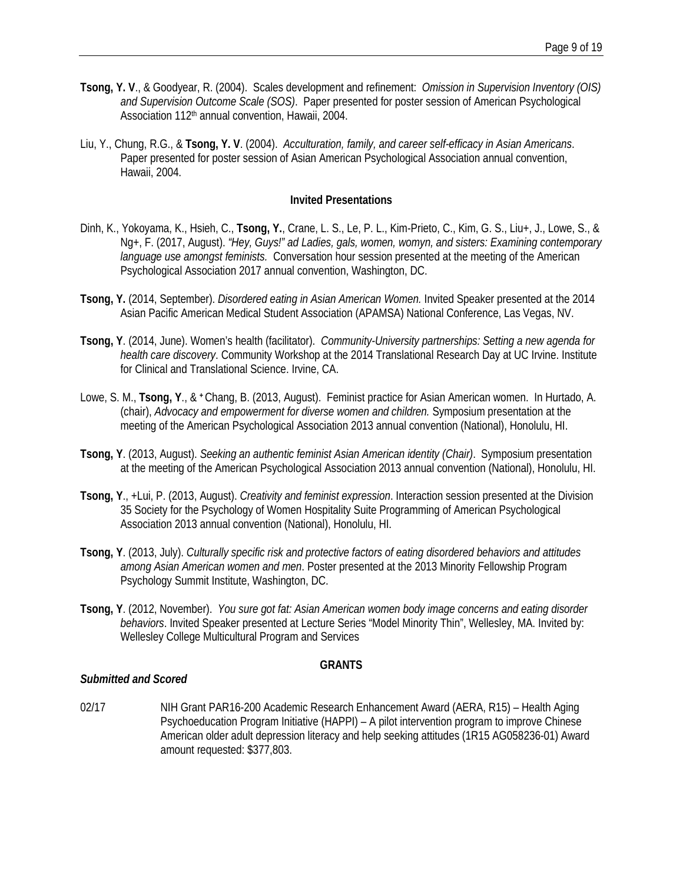- **Tsong, Y. V**., & Goodyear, R. (2004). Scales development and refinement: *Omission in Supervision Inventory (OIS) and Supervision Outcome Scale (SOS)*. Paper presented for poster session of American Psychological Association 112<sup>th</sup> annual convention, Hawaii, 2004.
- Liu, Y., Chung, R.G., & **Tsong, Y. V**. (2004). *Acculturation, family, and career self-efficacy in Asian Americans*. Paper presented for poster session of Asian American Psychological Association annual convention, Hawaii, 2004.

#### **Invited Presentations**

- Dinh, K., Yokoyama, K., Hsieh, C., **Tsong, Y.**, Crane, L. S., Le, P. L., Kim-Prieto, C., Kim, G. S., Liu+, J., Lowe, S., & Ng+, F. (2017, August). *"Hey, Guys!" ad Ladies, gals, women, womyn, and sisters: Examining contemporary language use amongst feminists.* Conversation hour session presented at the meeting of the American Psychological Association 2017 annual convention, Washington, DC.
- **Tsong, Y.** (2014, September). *Disordered eating in Asian American Women.* Invited Speaker presented at the 2014 Asian Pacific American Medical Student Association (APAMSA) National Conference, Las Vegas, NV.
- **Tsong, Y**. (2014, June). Women's health (facilitator). *Community-University partnerships: Setting a new agenda for health care discovery*. Community Workshop at the 2014 Translational Research Day at UC Irvine. Institute for Clinical and Translational Science. Irvine, CA.
- Lowe, S. M., **Tsong, Y**., & **+** Chang, B. (2013, August). Feminist practice for Asian American women. In Hurtado, A. (chair), *Advocacy and empowerment for diverse women and children.* Symposium presentation at the meeting of the American Psychological Association 2013 annual convention (National), Honolulu, HI.
- **Tsong, Y**. (2013, August). *Seeking an authentic feminist Asian American identity (Chair)*. Symposium presentation at the meeting of the American Psychological Association 2013 annual convention (National), Honolulu, HI.
- **Tsong, Y**., +Lui, P. (2013, August). *Creativity and feminist expression*. Interaction session presented at the Division 35 Society for the Psychology of Women Hospitality Suite Programming of American Psychological Association 2013 annual convention (National), Honolulu, HI.
- **Tsong, Y**. (2013, July). *Culturally specific risk and protective factors of eating disordered behaviors and attitudes among Asian American women and men*. Poster presented at the 2013 Minority Fellowship Program Psychology Summit Institute, Washington, DC.
- **Tsong, Y**. (2012, November). *You sure got fat: Asian American women body image concerns and eating disorder behaviors*. Invited Speaker presented at Lecture Series "Model Minority Thin", Wellesley, MA. Invited by: Wellesley College Multicultural Program and Services

#### **GRANTS**

#### *Submitted and Scored*

02/17 NIH Grant PAR16-200 Academic Research Enhancement Award (AERA, R15) – Health Aging Psychoeducation Program Initiative (HAPPI) – A pilot intervention program to improve Chinese American older adult depression literacy and help seeking attitudes (1R15 AG058236-01) Award amount requested: \$377,803.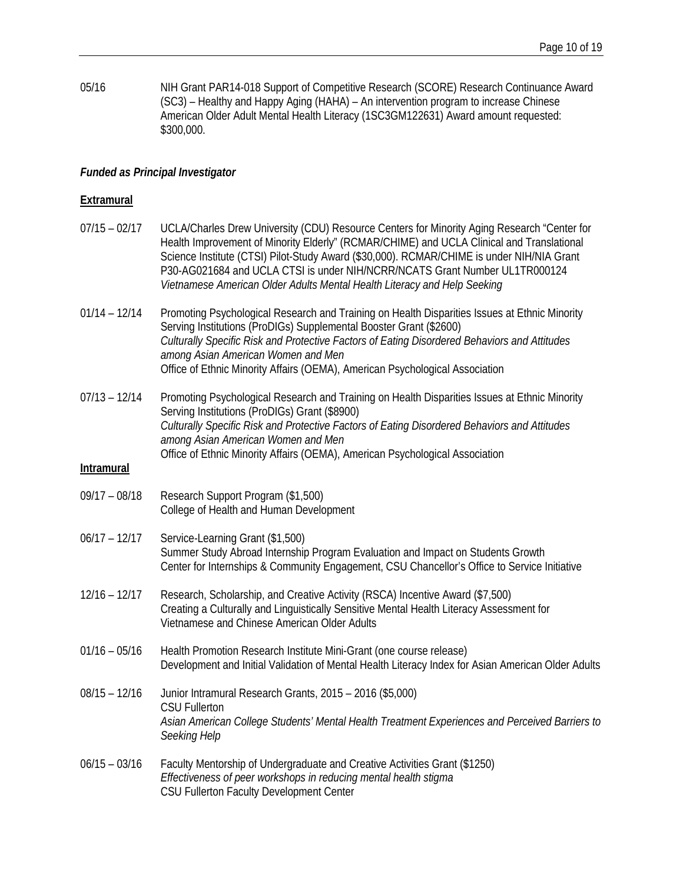05/16 NIH Grant PAR14-018 Support of Competitive Research (SCORE) Research Continuance Award (SC3) – Healthy and Happy Aging (HAHA) – An intervention program to increase Chinese American Older Adult Mental Health Literacy (1SC3GM122631) Award amount requested: \$300,000.

## *Funded as Principal Investigator*

# **Extramural**

| $07/15 - 02/17$                      | UCLA/Charles Drew University (CDU) Resource Centers for Minority Aging Research "Center for<br>Health Improvement of Minority Elderly" (RCMAR/CHIME) and UCLA Clinical and Translational<br>Science Institute (CTSI) Pilot-Study Award (\$30,000). RCMAR/CHIME is under NIH/NIA Grant<br>P30-AG021684 and UCLA CTSI is under NIH/NCRR/NCATS Grant Number UL1TR000124<br>Vietnamese American Older Adults Mental Health Literacy and Help Seeking |
|--------------------------------------|--------------------------------------------------------------------------------------------------------------------------------------------------------------------------------------------------------------------------------------------------------------------------------------------------------------------------------------------------------------------------------------------------------------------------------------------------|
| $01/14 - 12/14$                      | Promoting Psychological Research and Training on Health Disparities Issues at Ethnic Minority<br>Serving Institutions (ProDIGs) Supplemental Booster Grant (\$2600)<br>Culturally Specific Risk and Protective Factors of Eating Disordered Behaviors and Attitudes<br>among Asian American Women and Men<br>Office of Ethnic Minority Affairs (OEMA), American Psychological Association                                                        |
| $07/13 - 12/14$<br><b>Intramural</b> | Promoting Psychological Research and Training on Health Disparities Issues at Ethnic Minority<br>Serving Institutions (ProDIGs) Grant (\$8900)<br>Culturally Specific Risk and Protective Factors of Eating Disordered Behaviors and Attitudes<br>among Asian American Women and Men<br>Office of Ethnic Minority Affairs (OEMA), American Psychological Association                                                                             |
| $09/17 - 08/18$                      | Research Support Program (\$1,500)<br>College of Health and Human Development                                                                                                                                                                                                                                                                                                                                                                    |
| $06/17 - 12/17$                      | Service-Learning Grant (\$1,500)<br>Summer Study Abroad Internship Program Evaluation and Impact on Students Growth<br>Center for Internships & Community Engagement, CSU Chancellor's Office to Service Initiative                                                                                                                                                                                                                              |
| $12/16 - 12/17$                      | Research, Scholarship, and Creative Activity (RSCA) Incentive Award (\$7,500)<br>Creating a Culturally and Linguistically Sensitive Mental Health Literacy Assessment for<br>Vietnamese and Chinese American Older Adults                                                                                                                                                                                                                        |
| $01/16 - 05/16$                      | Health Promotion Research Institute Mini-Grant (one course release)<br>Development and Initial Validation of Mental Health Literacy Index for Asian American Older Adults                                                                                                                                                                                                                                                                        |
| $08/15 - 12/16$                      | Junior Intramural Research Grants, 2015 - 2016 (\$5,000)<br><b>CSU Fullerton</b><br>Asian American College Students' Mental Health Treatment Experiences and Perceived Barriers to<br>Seeking Help                                                                                                                                                                                                                                               |
| $06/15 - 03/16$                      | Faculty Mentorship of Undergraduate and Creative Activities Grant (\$1250)<br>Effectiveness of peer workshops in reducing mental health stigma<br>CSU Fullerton Faculty Development Center                                                                                                                                                                                                                                                       |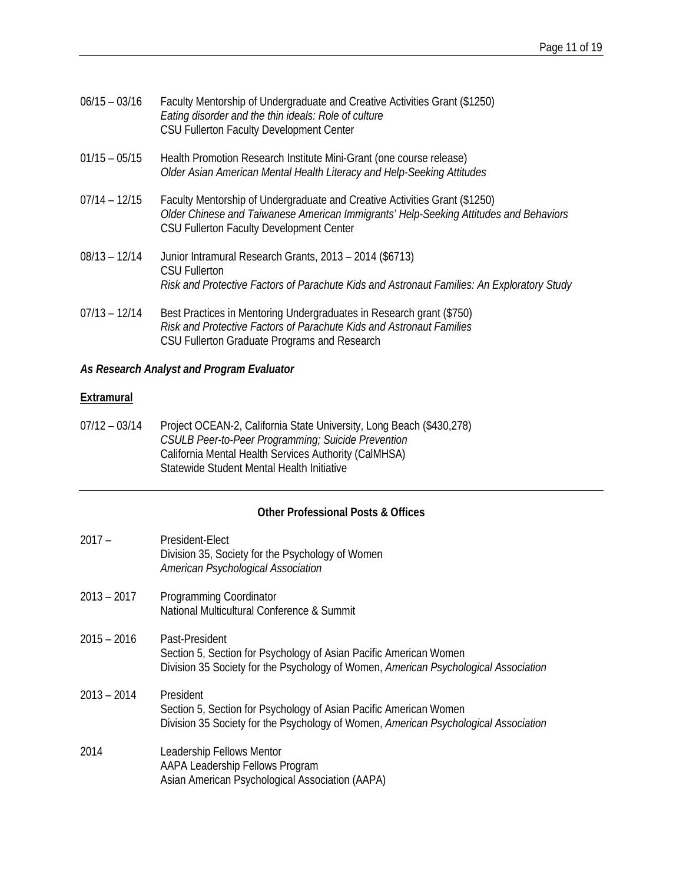| $06/15 - 03/16$ | Faculty Mentorship of Undergraduate and Creative Activities Grant (\$1250)<br>Eating disorder and the thin ideals: Role of culture<br>CSU Fullerton Faculty Development Center |
|-----------------|--------------------------------------------------------------------------------------------------------------------------------------------------------------------------------|
|                 |                                                                                                                                                                                |

- 01/15 05/15 Health Promotion Research Institute Mini-Grant (one course release) *Older Asian American Mental Health Literacy and Help-Seeking Attitudes*
- 07/14 12/15 Faculty Mentorship of Undergraduate and Creative Activities Grant (\$1250) *Older Chinese and Taiwanese American Immigrants' Help-Seeking Attitudes and Behaviors* CSU Fullerton Faculty Development Center
- 08/13 12/14 Junior Intramural Research Grants, 2013 2014 (\$6713) CSU Fullerton *Risk and Protective Factors of Parachute Kids and Astronaut Families: An Exploratory Study*
- 07/13 12/14 Best Practices in Mentoring Undergraduates in Research grant (\$750) *Risk and Protective Factors of Parachute Kids and Astronaut Families* CSU Fullerton Graduate Programs and Research

# *As Research Analyst and Program Evaluator*

# **Extramural**

07/12 – 03/14 Project OCEAN-2, California State University, Long Beach (\$430,278) *CSULB Peer-to-Peer Programming; Suicide Prevention* California Mental Health Services Authority (CalMHSA) Statewide Student Mental Health Initiative

# **Other Professional Posts & Offices**

| $2017 -$      | President-Elect<br>Division 35, Society for the Psychology of Women                                                                                                        |
|---------------|----------------------------------------------------------------------------------------------------------------------------------------------------------------------------|
|               | American Psychological Association                                                                                                                                         |
| $2013 - 2017$ | Programming Coordinator<br>National Multicultural Conference & Summit                                                                                                      |
| 2015 – 2016   | Past-President<br>Section 5, Section for Psychology of Asian Pacific American Women<br>Division 35 Society for the Psychology of Women, American Psychological Association |
| $2013 - 2014$ | President<br>Section 5, Section for Psychology of Asian Pacific American Women<br>Division 35 Society for the Psychology of Women, American Psychological Association      |
| 2014          | Leadership Fellows Mentor<br>AAPA Leadership Fellows Program<br>Asian American Psychological Association (AAPA)                                                            |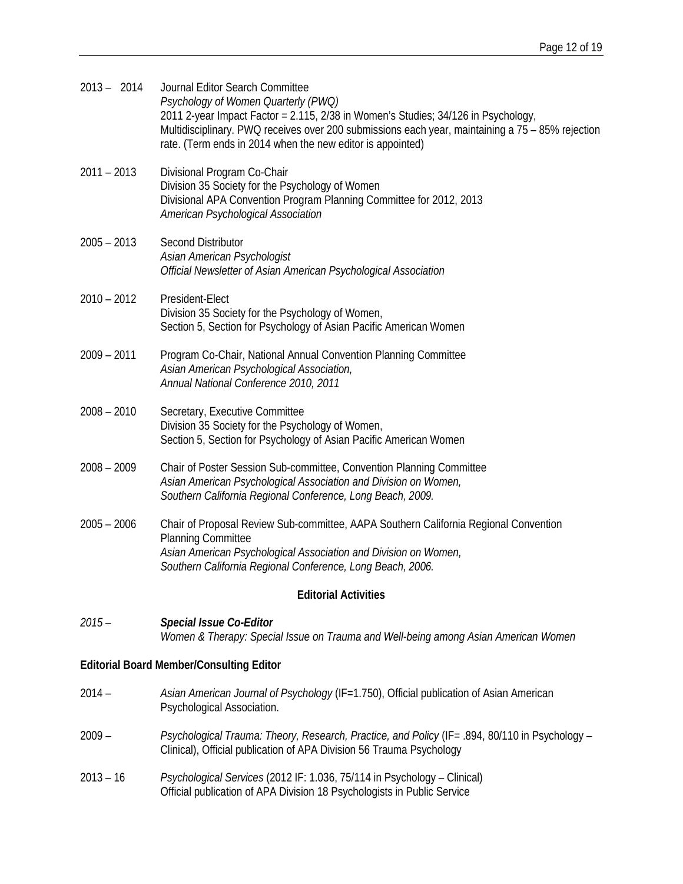| $2013 - 2014$                                   | Journal Editor Search Committee<br>Psychology of Women Quarterly (PWQ)<br>2011 2-year Impact Factor = 2.115, 2/38 in Women's Studies; 34/126 in Psychology,<br>Multidisciplinary. PWQ receives over 200 submissions each year, maintaining a 75 - 85% rejection<br>rate. (Term ends in 2014 when the new editor is appointed) |  |
|-------------------------------------------------|-------------------------------------------------------------------------------------------------------------------------------------------------------------------------------------------------------------------------------------------------------------------------------------------------------------------------------|--|
| $2011 - 2013$                                   | Divisional Program Co-Chair<br>Division 35 Society for the Psychology of Women<br>Divisional APA Convention Program Planning Committee for 2012, 2013<br>American Psychological Association                                                                                                                                   |  |
| $2005 - 2013$                                   | <b>Second Distributor</b><br>Asian American Psychologist<br>Official Newsletter of Asian American Psychological Association                                                                                                                                                                                                   |  |
| $2010 - 2012$                                   | President-Elect<br>Division 35 Society for the Psychology of Women,<br>Section 5, Section for Psychology of Asian Pacific American Women                                                                                                                                                                                      |  |
| $2009 - 2011$                                   | Program Co-Chair, National Annual Convention Planning Committee<br>Asian American Psychological Association,<br>Annual National Conference 2010, 2011                                                                                                                                                                         |  |
| $2008 - 2010$                                   | Secretary, Executive Committee<br>Division 35 Society for the Psychology of Women,<br>Section 5, Section for Psychology of Asian Pacific American Women                                                                                                                                                                       |  |
| $2008 - 2009$                                   | Chair of Poster Session Sub-committee, Convention Planning Committee<br>Asian American Psychological Association and Division on Women,<br>Southern California Regional Conference, Long Beach, 2009.                                                                                                                         |  |
| $2005 - 2006$                                   | Chair of Proposal Review Sub-committee, AAPA Southern California Regional Convention<br><b>Planning Committee</b><br>Asian American Psychological Association and Division on Women,<br>Southern California Regional Conference, Long Beach, 2006.                                                                            |  |
| <b>Editorial Activities</b>                     |                                                                                                                                                                                                                                                                                                                               |  |
| $2015 -$                                        | Special Issue Co-Editor<br>Women & Therapy: Special Issue on Trauma and Well-being among Asian American Women                                                                                                                                                                                                                 |  |
| <b>Editorial Board Member/Consulting Editor</b> |                                                                                                                                                                                                                                                                                                                               |  |
| $2014 -$                                        | Asian American Journal of Psychology (IF=1.750), Official publication of Asian American<br>Psychological Association.                                                                                                                                                                                                         |  |
| $2009 -$                                        | Psychological Trauma: Theory, Research, Practice, and Policy (IF= .894, 80/110 in Psychology –<br>Clinical), Official publication of APA Division 56 Trauma Psychology                                                                                                                                                        |  |
| $2013 - 16$                                     | Psychological Services (2012 IF: 1.036, 75/114 in Psychology - Clinical)                                                                                                                                                                                                                                                      |  |

Official publication of APA Division 18 Psychologists in Public Service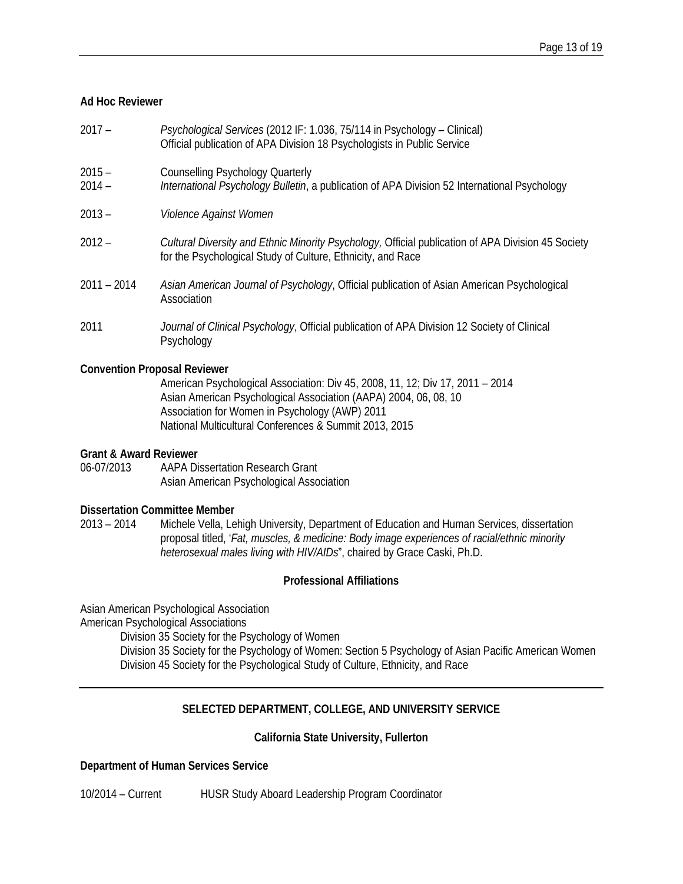#### **Ad Hoc Reviewer**

- 2017 *Psychological Services* (2012 IF: 1.036, 75/114 in Psychology Clinical) Official publication of APA Division 18 Psychologists in Public Service
- 2015 Counselling Psychology Quarterly
- 2014 *International Psychology Bulletin*, a publication of APA Division 52 International Psychology
- 2013 *Violence Against Women*
- 2012 *Cultural Diversity and Ethnic Minority Psychology,* Official publication of APA Division 45 Society for the Psychological Study of Culture, Ethnicity, and Race
- 2011 2014 *Asian American Journal of Psychology*, Official publication of Asian American Psychological **Association**
- 2011 *Journal of Clinical Psychology*, Official publication of APA Division 12 Society of Clinical Psychology

#### **Convention Proposal Reviewer**

American Psychological Association: Div 45, 2008, 11, 12; Div 17, 2011 – 2014 Asian American Psychological Association (AAPA) 2004, 06, 08, 10 Association for Women in Psychology (AWP) 2011 National Multicultural Conferences & Summit 2013, 2015

#### **Grant & Award Reviewer**

06-07/2013 AAPA Dissertation Research Grant Asian American Psychological Association

#### **Dissertation Committee Member**

2013 – 2014 Michele Vella, Lehigh University, Department of Education and Human Services, dissertation proposal titled, '*Fat, muscles, & medicine: Body image experiences of racial/ethnic minority heterosexual males living with HIV/AIDs*", chaired by Grace Caski, Ph.D.

# **Professional Affiliations**

Asian American Psychological Association American Psychological Associations

Division 35 Society for the Psychology of Women

Division 35 Society for the Psychology of Women: Section 5 Psychology of Asian Pacific American Women Division 45 Society for the Psychological Study of Culture, Ethnicity, and Race

# **SELECTED DEPARTMENT, COLLEGE, AND UNIVERSITY SERVICE**

#### **California State University, Fullerton**

#### **Department of Human Services Service**

10/2014 – Current HUSR Study Aboard Leadership Program Coordinator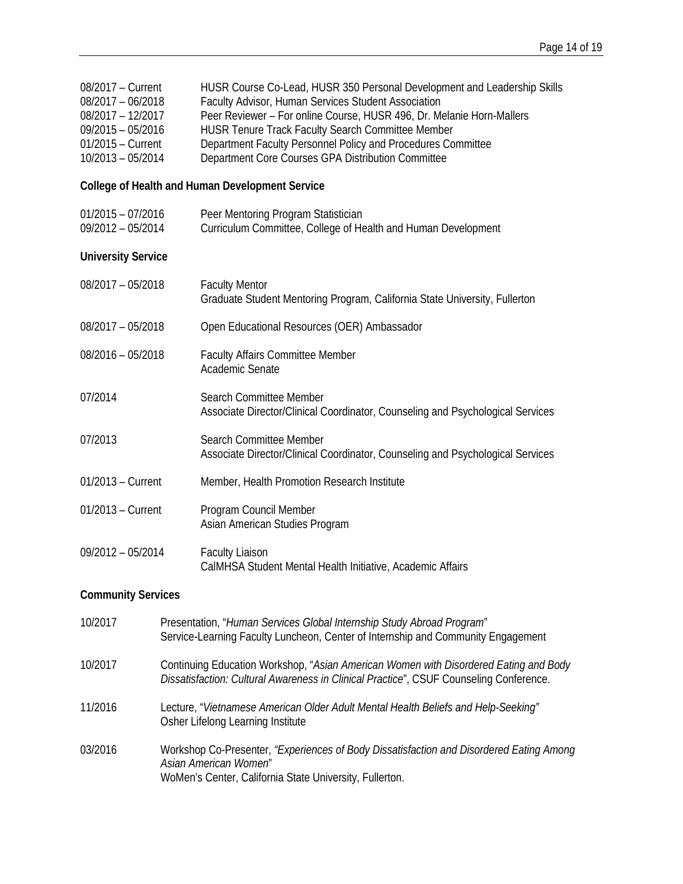| 08/2017 - Current<br>$08/2017 - 06/2018$<br>08/2017 - 12/2017<br>$09/2015 - 05/2016$<br>$01/2015 -$ Current<br>10/2013 - 05/2014 |                                                                                                                                                                             | HUSR Course Co-Lead, HUSR 350 Personal Development and Leadership Skills<br>Faculty Advisor, Human Services Student Association<br>Peer Reviewer - For online Course, HUSR 496, Dr. Melanie Horn-Mallers<br><b>HUSR Tenure Track Faculty Search Committee Member</b><br>Department Faculty Personnel Policy and Procedures Committee<br>Department Core Courses GPA Distribution Committee |
|----------------------------------------------------------------------------------------------------------------------------------|-----------------------------------------------------------------------------------------------------------------------------------------------------------------------------|--------------------------------------------------------------------------------------------------------------------------------------------------------------------------------------------------------------------------------------------------------------------------------------------------------------------------------------------------------------------------------------------|
|                                                                                                                                  |                                                                                                                                                                             | College of Health and Human Development Service                                                                                                                                                                                                                                                                                                                                            |
| $01/2015 - 07/2016$<br>09/2012 - 05/2014                                                                                         |                                                                                                                                                                             | Peer Mentoring Program Statistician<br>Curriculum Committee, College of Health and Human Development                                                                                                                                                                                                                                                                                       |
| <b>University Service</b>                                                                                                        |                                                                                                                                                                             |                                                                                                                                                                                                                                                                                                                                                                                            |
| 08/2017 - 05/2018                                                                                                                |                                                                                                                                                                             | <b>Faculty Mentor</b><br>Graduate Student Mentoring Program, California State University, Fullerton                                                                                                                                                                                                                                                                                        |
| 08/2017 - 05/2018                                                                                                                |                                                                                                                                                                             | Open Educational Resources (OER) Ambassador                                                                                                                                                                                                                                                                                                                                                |
| $08/2016 - 05/2018$                                                                                                              |                                                                                                                                                                             | <b>Faculty Affairs Committee Member</b><br>Academic Senate                                                                                                                                                                                                                                                                                                                                 |
| 07/2014                                                                                                                          |                                                                                                                                                                             | Search Committee Member<br>Associate Director/Clinical Coordinator, Counseling and Psychological Services                                                                                                                                                                                                                                                                                  |
| 07/2013                                                                                                                          |                                                                                                                                                                             | Search Committee Member<br>Associate Director/Clinical Coordinator, Counseling and Psychological Services                                                                                                                                                                                                                                                                                  |
| $01/2013$ – Current                                                                                                              |                                                                                                                                                                             | Member, Health Promotion Research Institute                                                                                                                                                                                                                                                                                                                                                |
| 01/2013 - Current                                                                                                                |                                                                                                                                                                             | Program Council Member<br>Asian American Studies Program                                                                                                                                                                                                                                                                                                                                   |
| 09/2012 - 05/2014                                                                                                                |                                                                                                                                                                             | <b>Faculty Liaison</b><br>CalMHSA Student Mental Health Initiative, Academic Affairs                                                                                                                                                                                                                                                                                                       |
| <b>Community Services</b>                                                                                                        |                                                                                                                                                                             |                                                                                                                                                                                                                                                                                                                                                                                            |
| 10/2017                                                                                                                          |                                                                                                                                                                             | Presentation, "Human Services Global Internship Study Abroad Program"<br>Service-Learning Faculty Luncheon, Center of Internship and Community Engagement                                                                                                                                                                                                                                  |
| 10/2017                                                                                                                          |                                                                                                                                                                             | Continuing Education Workshop, "Asian American Women with Disordered Eating and Body<br>Dissatisfaction: Cultural Awareness in Clinical Practice", CSUF Counseling Conference.                                                                                                                                                                                                             |
| 11/2016                                                                                                                          | Lecture, "Vietnamese American Older Adult Mental Health Beliefs and Help-Seeking"<br>Osher Lifelong Learning Institute                                                      |                                                                                                                                                                                                                                                                                                                                                                                            |
| 03/2016                                                                                                                          | Workshop Co-Presenter, "Experiences of Body Dissatisfaction and Disordered Eating Among<br>Asian American Women"<br>WoMen's Center, California State University, Fullerton. |                                                                                                                                                                                                                                                                                                                                                                                            |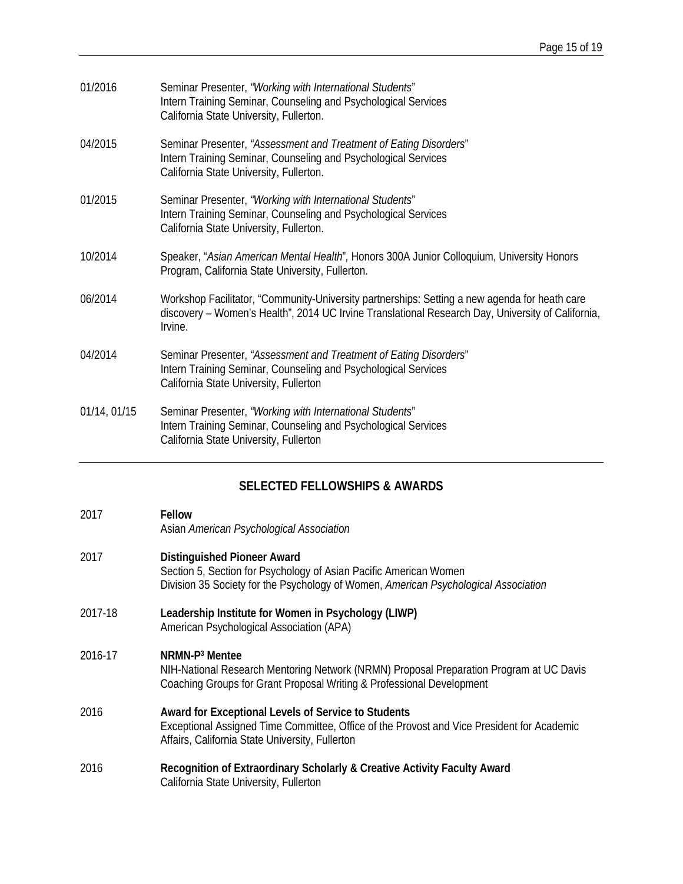| 01/2016      | Seminar Presenter, "Working with International Students"<br>Intern Training Seminar, Counseling and Psychological Services<br>California State University, Fullerton.                                         |
|--------------|---------------------------------------------------------------------------------------------------------------------------------------------------------------------------------------------------------------|
| 04/2015      | Seminar Presenter, "Assessment and Treatment of Eating Disorders"<br>Intern Training Seminar, Counseling and Psychological Services<br>California State University, Fullerton.                                |
| 01/2015      | Seminar Presenter, "Working with International Students"<br>Intern Training Seminar, Counseling and Psychological Services<br>California State University, Fullerton.                                         |
| 10/2014      | Speaker, "Asian American Mental Health", Honors 300A Junior Colloquium, University Honors<br>Program, California State University, Fullerton.                                                                 |
| 06/2014      | Workshop Facilitator, "Community-University partnerships: Setting a new agenda for heath care<br>discovery - Women's Health", 2014 UC Irvine Translational Research Day, University of California,<br>Irvine. |
| 04/2014      | Seminar Presenter, "Assessment and Treatment of Eating Disorders"<br>Intern Training Seminar, Counseling and Psychological Services<br>California State University, Fullerton                                 |
| 01/14, 01/15 | Seminar Presenter, "Working with International Students"<br>Intern Training Seminar, Counseling and Psychological Services<br>California State University, Fullerton                                          |

# **SELECTED FELLOWSHIPS & AWARDS**

#### 2017 **Fellow** Asian *American Psychological Association*

- 2017 **Distinguished Pioneer Award** Section 5, Section for Psychology of Asian Pacific American Women Division 35 Society for the Psychology of Women, *American Psychological Association*
- 2017-18 **Leadership Institute for Women in Psychology (LIWP)** American Psychological Association (APA)

# 2016-17 **NRMN-P3 Mentee**

NIH-National Research Mentoring Network (NRMN) Proposal Preparation Program at UC Davis Coaching Groups for Grant Proposal Writing & Professional Development

- 2016 **Award for Exceptional Levels of Service to Students**  Exceptional Assigned Time Committee, Office of the Provost and Vice President for Academic Affairs, California State University, Fullerton
- 2016 **Recognition of Extraordinary Scholarly & Creative Activity Faculty Award** California State University, Fullerton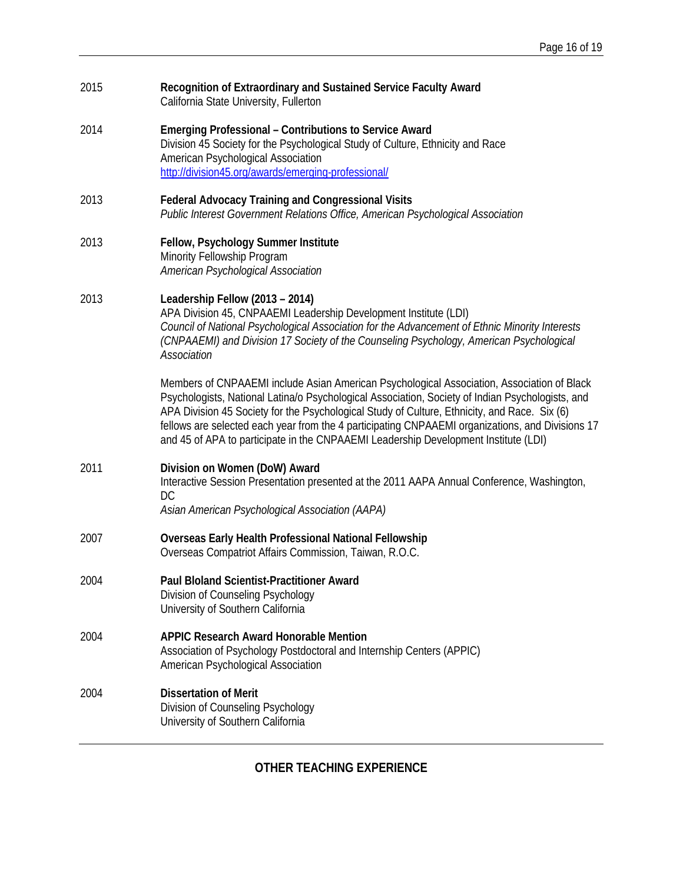| 2015 | Recognition of Extraordinary and Sustained Service Faculty Award<br>California State University, Fullerton                                                                                                                                                                                                                                                                                                                                                                                |
|------|-------------------------------------------------------------------------------------------------------------------------------------------------------------------------------------------------------------------------------------------------------------------------------------------------------------------------------------------------------------------------------------------------------------------------------------------------------------------------------------------|
| 2014 | <b>Emerging Professional - Contributions to Service Award</b><br>Division 45 Society for the Psychological Study of Culture, Ethnicity and Race<br>American Psychological Association<br>http://division45.org/awards/emerging-professional/                                                                                                                                                                                                                                              |
| 2013 | <b>Federal Advocacy Training and Congressional Visits</b><br>Public Interest Government Relations Office, American Psychological Association                                                                                                                                                                                                                                                                                                                                              |
| 2013 | Fellow, Psychology Summer Institute<br>Minority Fellowship Program<br>American Psychological Association                                                                                                                                                                                                                                                                                                                                                                                  |
| 2013 | Leadership Fellow (2013 - 2014)<br>APA Division 45, CNPAAEMI Leadership Development Institute (LDI)<br>Council of National Psychological Association for the Advancement of Ethnic Minority Interests<br>(CNPAAEMI) and Division 17 Society of the Counseling Psychology, American Psychological<br>Association                                                                                                                                                                           |
|      | Members of CNPAAEMI include Asian American Psychological Association, Association of Black<br>Psychologists, National Latina/o Psychological Association, Society of Indian Psychologists, and<br>APA Division 45 Society for the Psychological Study of Culture, Ethnicity, and Race. Six (6)<br>fellows are selected each year from the 4 participating CNPAAEMI organizations, and Divisions 17<br>and 45 of APA to participate in the CNPAAEMI Leadership Development Institute (LDI) |
| 2011 | Division on Women (DoW) Award<br>Interactive Session Presentation presented at the 2011 AAPA Annual Conference, Washington,<br>DC<br>Asian American Psychological Association (AAPA)                                                                                                                                                                                                                                                                                                      |
| 2007 | <b>Overseas Early Health Professional National Fellowship</b><br>Overseas Compatriot Affairs Commission, Taiwan, R.O.C.                                                                                                                                                                                                                                                                                                                                                                   |
| 2004 | Paul Bloland Scientist-Practitioner Award<br>Division of Counseling Psychology<br>University of Southern California                                                                                                                                                                                                                                                                                                                                                                       |
| 2004 | <b>APPIC Research Award Honorable Mention</b><br>Association of Psychology Postdoctoral and Internship Centers (APPIC)<br>American Psychological Association                                                                                                                                                                                                                                                                                                                              |
| 2004 | <b>Dissertation of Merit</b><br>Division of Counseling Psychology<br>University of Southern California                                                                                                                                                                                                                                                                                                                                                                                    |

# **OTHER TEACHING EXPERIENCE**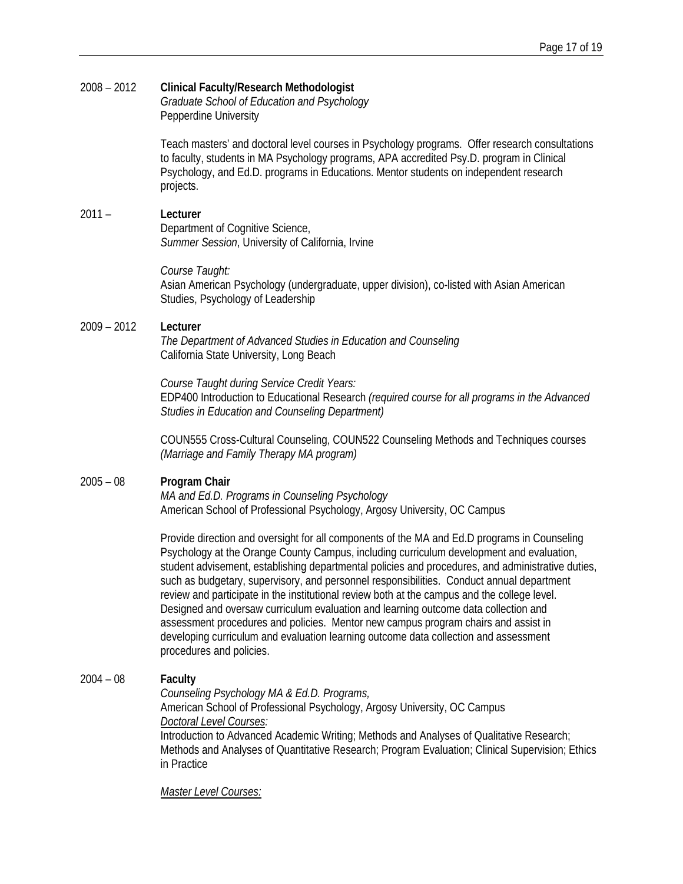# 2008 – 2012 **Clinical Faculty/Research Methodologist** *Graduate School of Education and Psychology*

Pepperdine University

Teach masters' and doctoral level courses in Psychology programs. Offer research consultations to faculty, students in MA Psychology programs, APA accredited Psy.D. program in Clinical Psychology, and Ed.D. programs in Educations. Mentor students on independent research projects.

# 2011 – **Lecturer**

Department of Cognitive Science, *Summer Session*, University of California, Irvine

*Course Taught:*

Asian American Psychology (undergraduate, upper division), co-listed with Asian American Studies, Psychology of Leadership

## 2009 – 2012 **Lecturer**

*The Department of Advanced Studies in Education and Counseling* California State University, Long Beach

*Course Taught during Service Credit Years:* EDP400 Introduction to Educational Research *(required course for all programs in the Advanced Studies in Education and Counseling Department)*

COUN555 Cross-Cultural Counseling, COUN522 Counseling Methods and Techniques courses *(Marriage and Family Therapy MA program)*

#### 2005 – 08 **Program Chair**

*MA and Ed.D. Programs in Counseling Psychology* American School of Professional Psychology, Argosy University, OC Campus

Provide direction and oversight for all components of the MA and Ed.D programs in Counseling Psychology at the Orange County Campus, including curriculum development and evaluation, student advisement, establishing departmental policies and procedures, and administrative duties, such as budgetary, supervisory, and personnel responsibilities. Conduct annual department review and participate in the institutional review both at the campus and the college level. Designed and oversaw curriculum evaluation and learning outcome data collection and assessment procedures and policies. Mentor new campus program chairs and assist in developing curriculum and evaluation learning outcome data collection and assessment procedures and policies.

# 2004 – 08 **Faculty**

*Counseling Psychology MA & Ed.D. Programs,* 

American School of Professional Psychology, Argosy University, OC Campus *Doctoral Level Courses:* 

Introduction to Advanced Academic Writing; Methods and Analyses of Qualitative Research; Methods and Analyses of Quantitative Research; Program Evaluation; Clinical Supervision; Ethics in Practice

*Master Level Courses:*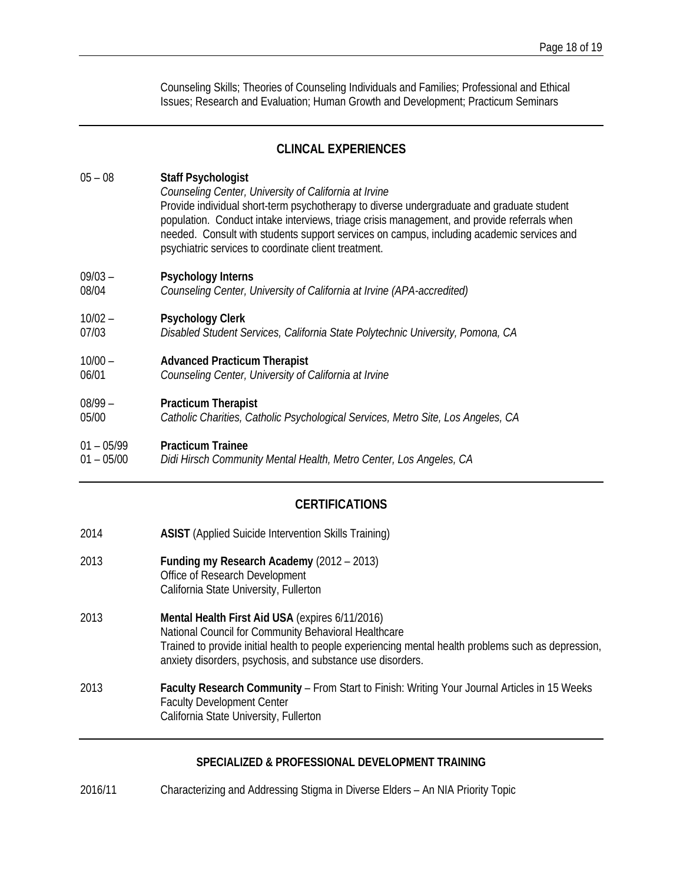Counseling Skills; Theories of Counseling Individuals and Families; Professional and Ethical Issues; Research and Evaluation; Human Growth and Development; Practicum Seminars

# **CLINCAL EXPERIENCES**

# 05 – 08 **Staff Psychologist** *Counseling Center, University of California at Irvine* Provide individual short-term psychotherapy to diverse undergraduate and graduate student population. Conduct intake interviews, triage crisis management, and provide referrals when needed. Consult with students support services on campus, including academic services and psychiatric services to coordinate client treatment. 09/03 – **Psychology Interns** 08/04 *Counseling Center, University of California at Irvine (APA-accredited)* 10/02 – **Psychology Clerk** 07/03 *Disabled Student Services, California State Polytechnic University, Pomona, CA* 10/00 – **Advanced Practicum Therapist**  06/01 *Counseling Center, University of California at Irvine* 08/99 – **Practicum Therapist**  05/00 *Catholic Charities, Catholic Psychological Services, Metro Site, Los Angeles, CA* 01 – 05/99 **Practicum Trainee**  01 – 05/00 *Didi Hirsch Community Mental Health, Metro Center, Los Angeles, CA*

# **CERTIFICATIONS**

- 2014 **ASIST** (Applied Suicide Intervention Skills Training)
- 2013 **Funding my Research Academy** (2012 2013) Office of Research Development California State University, Fullerton
- 2013 **Mental Health First Aid USA** (expires 6/11/2016) National Council for Community Behavioral Healthcare Trained to provide initial health to people experiencing mental health problems such as depression, anxiety disorders, psychosis, and substance use disorders.
- 2013 **Faculty Research Community** From Start to Finish: Writing Your Journal Articles in 15 Weeks Faculty Development Center California State University, Fullerton

# **SPECIALIZED & PROFESSIONAL DEVELOPMENT TRAINING**

2016/11 Characterizing and Addressing Stigma in Diverse Elders – An NIA Priority Topic